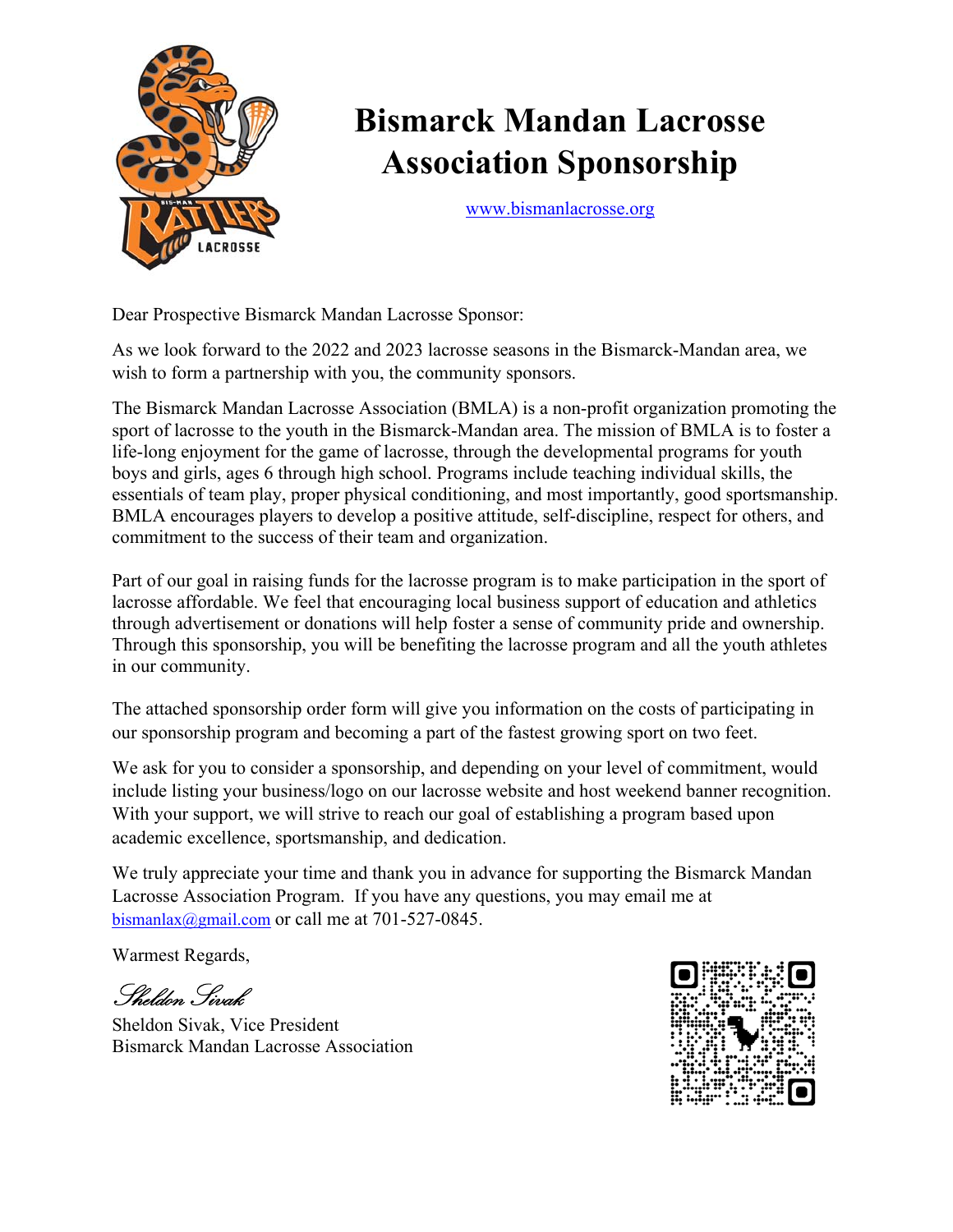

## **Bismarck Mandan Lacrosse Association Sponsorship**

www.bismanlacrosse.org

Dear Prospective Bismarck Mandan Lacrosse Sponsor:

As we look forward to the 2022 and 2023 lacrosse seasons in the Bismarck-Mandan area, we wish to form a partnership with you, the community sponsors.

The Bismarck Mandan Lacrosse Association (BMLA) is a non-profit organization promoting the sport of lacrosse to the youth in the Bismarck-Mandan area. The mission of BMLA is to foster a life‐long enjoyment for the game of lacrosse, through the developmental programs for youth boys and girls, ages 6 through high school. Programs include teaching individual skills, the essentials of team play, proper physical conditioning, and most importantly, good sportsmanship. BMLA encourages players to develop a positive attitude, self-discipline, respect for others, and commitment to the success of their team and organization.

Part of our goal in raising funds for the lacrosse program is to make participation in the sport of lacrosse affordable. We feel that encouraging local business support of education and athletics through advertisement or donations will help foster a sense of community pride and ownership. Through this sponsorship, you will be benefiting the lacrosse program and all the youth athletes in our community.

The attached sponsorship order form will give you information on the costs of participating in our sponsorship program and becoming a part of the fastest growing sport on two feet.

We ask for you to consider a sponsorship, and depending on your level of commitment, would include listing your business/logo on our lacrosse website and host weekend banner recognition. With your support, we will strive to reach our goal of establishing a program based upon academic excellence, sportsmanship, and dedication.

We truly appreciate your time and thank you in advance for supporting the Bismarck Mandan Lacrosse Association Program. If you have any questions, you may email me at bismanlax@gmail.com or call me at 701-527-0845.

Warmest Regards,

Sheldon Sivak

Sheldon Sivak, Vice President Bismarck Mandan Lacrosse Association